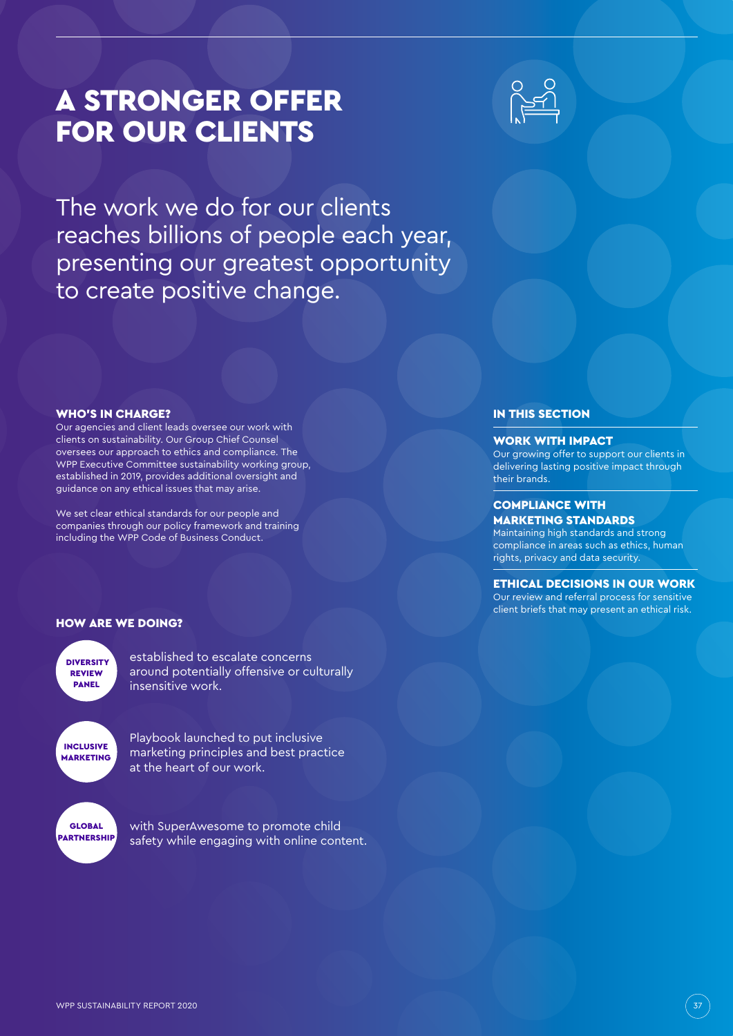# A STRONGER OFFER FOR OUR CLIENTS



The work we do for our clients reaches billions of people each year, presenting our greatest opportunity to create positive change.

### IN THIS SECTION

#### WORK WITH IMPACT

Our growing offer to support our clients in delivering lasting positive impact through their brands.

#### COMPLIANCE WITH MARKETING STANDARDS

Maintaining high standards and strong compliance in areas such as ethics, human rights, privacy and data security.

### ETHICAL DECISIONS IN OUR WORK

Our review and referral process for sensitive client briefs that may present an ethical risk.

#### WHO'S IN CHARGE?

Our agencies and client leads oversee our work with clients on sustainability. Our Group Chief Counsel oversees our approach to ethics and compliance. The WPP Executive Committee sustainability working group, established in 2019, provides additional oversight and guidance on any ethical issues that may arise.

We set clear ethical standards for our people and companies through our policy framework and training including the WPP Code of Business Conduct.

#### HOW ARE WE DOING?

**DIVERSITY** REVIEW PANEL

established to escalate concerns around potentially offensive or culturally insensitive work.

INCLUSIVE MARKETING GLOBAL

**PARTNERSHIP** 

Playbook launched to put inclusive marketing principles and best practice at the heart of our work.

with SuperAwesome to promote child safety while engaging with online content.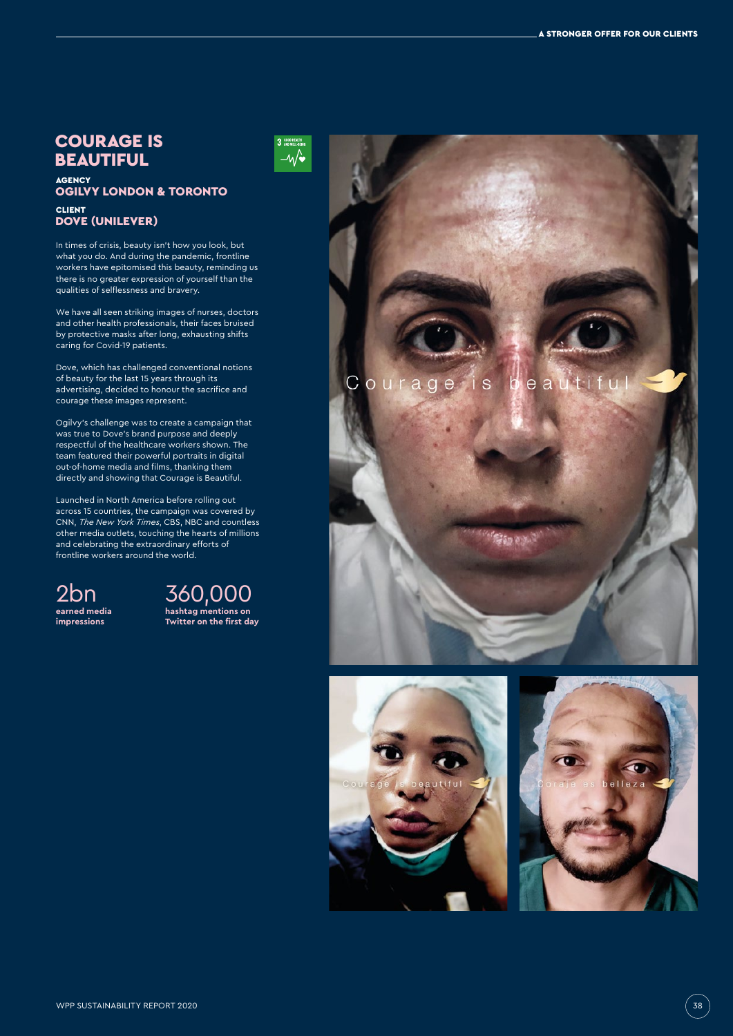# COURAGE IS BEAUTIFUL

### <sub>AGENCY</sub><br>OGILVY LONDON & TORONTO CLIENT DOVE (UNILEVER)

In times of crisis, beauty isn't how you look, but what you do. And during the pandemic, frontline workers have epitomised this beauty, reminding us there is no greater expression of yourself than the qualities of selflessness and bravery.

We have all seen striking images of nurses, doctors and other health professionals, their faces bruised by protective masks after long, exhausting shifts caring for Covid-19 patients.

Dove, which has challenged conventional notions of beauty for the last 15 years through its advertising, decided to honour the sacrifice and courage these images represent.

Ogilvy's challenge was to create a campaign that was true to Dove's brand purpose and deeply respectful of the healthcare workers shown. The team featured their powerful portraits in digital out-of-home media and films, thanking them directly and showing that Courage is Beautiful.

Launched in North America before rolling out across 15 countries, the campaign was covered by CNN, *The New York Times*, CBS, NBC and countless other media outlets, touching the hearts of millions and celebrating the extraordinary efforts of frontline workers around the world.

2bn **earned media impressions**





eautifu is  $\mathsf{C}$ ourage



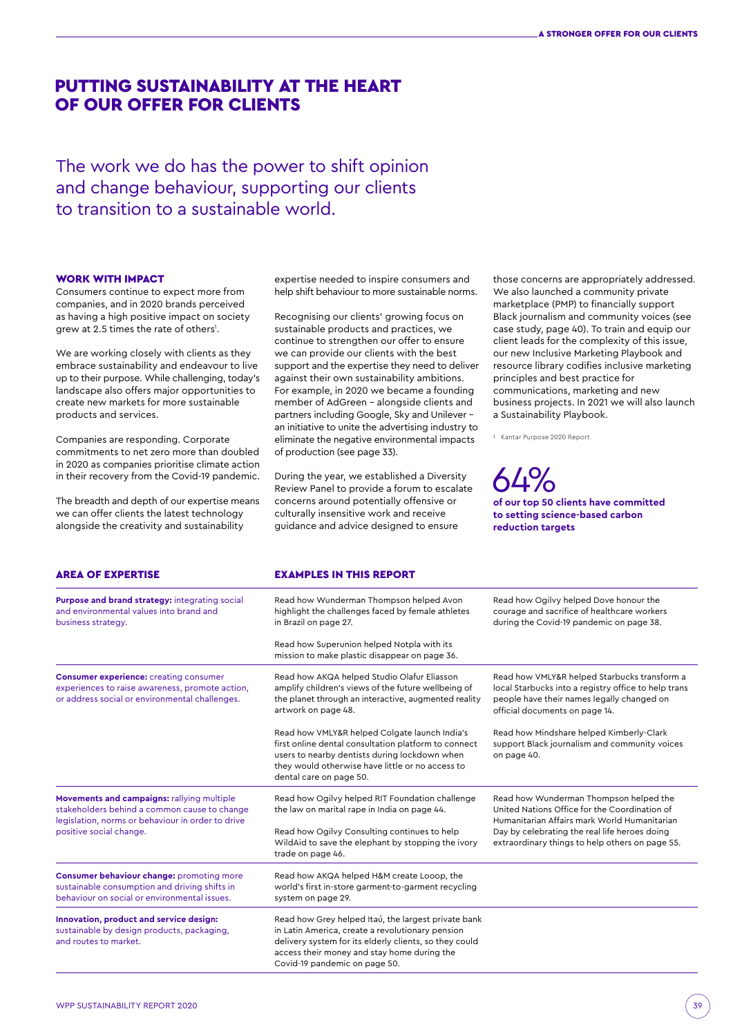# PUTTING SUSTAINABILITY AT THE HEART OF OUR OFFER FOR CLIENTS

The work we do has the power to shift opinion and change behaviour, supporting our clients to transition to a sustainable world.

#### WORK WITH IMPACT

Consumers continue to expect more from companies, and in 2020 brands perceived as having a high positive impact on society grew at 2.5 times the rate of others<sup>1</sup>.

We are working closely with clients as they embrace sustainability and endeavour to live up to their purpose. While challenging, today's landscape also offers major opportunities to create new markets for more sustainable products and services.

Companies are responding. Corporate commitments to net zero more than doubled in 2020 as companies prioritise climate action in their recovery from the Covid-19 pandemic.

The breadth and depth of our expertise means we can offer clients the latest technology alongside the creativity and sustainability

expertise needed to inspire consumers and help shift behaviour to more sustainable norms.

Recognising our clients' growing focus on sustainable products and practices, we continue to strengthen our offer to ensure we can provide our clients with the best support and the expertise they need to deliver against their own sustainability ambitions. For example, in 2020 we became a founding member of AdGreen – alongside clients and partners including Google, Sky and Unilever – an initiative to unite the advertising industry to eliminate the negative environmental impacts of production (see page 33).

During the year, we established a Diversity Review Panel to provide a forum to escalate concerns around potentially offensive or culturally insensitive work and receive guidance and advice designed to ensure

those concerns are appropriately addressed. We also launched a community private marketplace (PMP) to financially support Black journalism and community voices (see case study, page 40). To train and equip our client leads for the complexity of this issue, our new Inclusive Marketing Playbook and resource library codifies inclusive marketing principles and best practice for communications, marketing and new business projects. In 2021 we will also launch a Sustainability Playbook.

1 Kantar Purpose 2020 Report.

### 64% **of our top 50 clients have committed to setting science-based carbon reduction targets**

| <b>AREA OF EXPERTISE</b>                                                                                                                                                   | <b>EXAMPLES IN THIS REPORT</b>                                                                                                                                                                                                                    |                                                                                                                                                                                                                                             |
|----------------------------------------------------------------------------------------------------------------------------------------------------------------------------|---------------------------------------------------------------------------------------------------------------------------------------------------------------------------------------------------------------------------------------------------|---------------------------------------------------------------------------------------------------------------------------------------------------------------------------------------------------------------------------------------------|
| Purpose and brand strategy: integrating social<br>and environmental values into brand and<br>business strategy.                                                            | Read how Wunderman Thompson helped Avon<br>highlight the challenges faced by female athletes<br>in Brazil on page 27.                                                                                                                             | Read how Ogilvy helped Dove honour the<br>courage and sacrifice of healthcare workers<br>during the Covid-19 pandemic on page 38.                                                                                                           |
|                                                                                                                                                                            | Read how Superunion helped Notpla with its<br>mission to make plastic disappear on page 36.                                                                                                                                                       |                                                                                                                                                                                                                                             |
| <b>Consumer experience:</b> creating consumer<br>experiences to raise awareness, promote action,<br>or address social or environmental challenges.                         | Read how AKQA helped Studio Olafur Eliasson<br>amplify children's views of the future wellbeing of<br>the planet through an interactive, augmented reality<br>artwork on page 48.                                                                 | Read how VMLY&R helped Starbucks transform a<br>local Starbucks into a registry office to help trans<br>people have their names legally changed on<br>official documents on page 14.                                                        |
|                                                                                                                                                                            | Read how VMLY&R helped Colgate launch India's<br>first online dental consultation platform to connect<br>users to nearby dentists during lockdown when<br>they would otherwise have little or no access to<br>dental care on page 50.             | Read how Mindshare helped Kimberly-Clark<br>support Black journalism and community voices<br>on page 40.                                                                                                                                    |
| Movements and campaigns: rallying multiple<br>stakeholders behind a common cause to change<br>legislation, norms or behaviour in order to drive<br>positive social change. | Read how Ogilvy helped RIT Foundation challenge<br>the law on marital rape in India on page 44.<br>Read how Ogilvy Consulting continues to help<br>WildAid to save the elephant by stopping the ivory<br>trade on page 46.                        | Read how Wunderman Thompson helped the<br>United Nations Office for the Coordination of<br>Humanitarian Affairs mark World Humanitarian<br>Day by celebrating the real life heroes doing<br>extraordinary things to help others on page 55. |
| Consumer behaviour change: promoting more<br>sustainable consumption and driving shifts in<br>behaviour on social or environmental issues.                                 | Read how AKQA helped H&M create Looop, the<br>world's first in-store garment-to-garment recycling<br>system on page 29.                                                                                                                           |                                                                                                                                                                                                                                             |
| Innovation, product and service design:<br>sustainable by design products, packaging,<br>and routes to market.                                                             | Read how Grey helped Itaú, the largest private bank<br>in Latin America, create a revolutionary pension<br>delivery system for its elderly clients, so they could<br>access their money and stay home during the<br>Covid-19 pandemic on page 50. |                                                                                                                                                                                                                                             |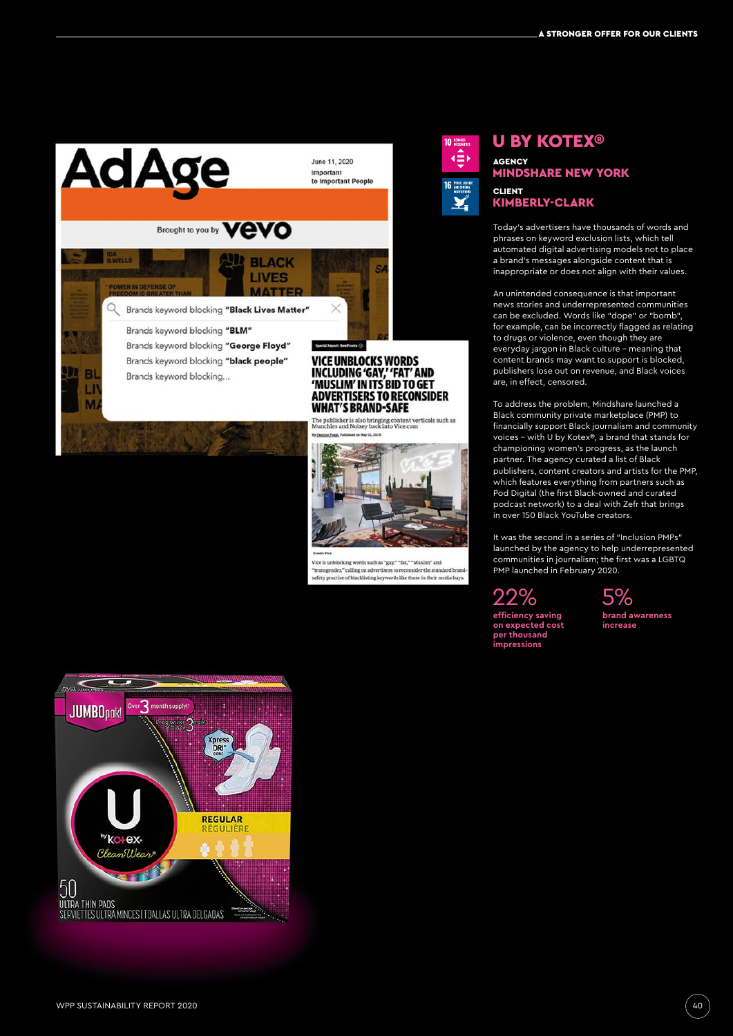

Q

**D** BL

 $\mathbf{u}$ 

M

June 11, 2020 Important to Important People

Brands keyword blocking "Black Lives Matter"

Brands keyword blocking "BLM" Brands keyword blocking "George Floyd" Brands keyword blocking "black people" Brands keyword blocking...

VICE UNBLOCKS WORDS<br>INCLUDING 'GAY,' 'FAT' AND<br>'MUSLIM' IN ITS BID TO GET **ADVERTISERS TO RECONSIDER WHAT'S BRAND-SAFE** 

The publisher is also bringing content verticals such as<br>Munchies and Noisey back into Vice.com



ords such as "gay," "fat," "Muslim" and Vice is unbl "transgender," calling on advertisers to reconsider the standard brand<br>"transgender," calling on advertisers to reconsider the standard brand<br>safety practice of blacklisting keywords like these in their media buys.



### U BY KOTEX® AGENCY MINDSHARE NEW YORK CLIENT KIMBERLY-CLARK

Today's advertisers have thousands of words and phrases on keyword exclusion lists, which tell automated digital advertising models not to place a brand's messages alongside content that is inappropriate or does not align with their values.

An unintended consequence is that important news stories and underrepresented communities can be excluded. Words like "dope" or "bomb", for example, can be incorrectly flagged as relating to drugs or violence, even though they are everyday jargon in Black culture – meaning that content brands may want to support is blocked, publishers lose out on revenue, and Black voices are, in effect, censored.

To address the problem, Mindshare launched a Black community private marketplace (PMP) to financially support Black journalism and community voices – with U by Kotex®, a brand that stands for championing women's progress, as the launch partner. The agency curated a list of Black publishers, content creators and artists for the PMP, which features everything from partners such as Pod Digital (the first Black-owned and curated podcast network) to a deal with Zefr that brings in over 150 Black YouTube creators.

It was the second in a series of "Inclusion PMPs" launched by the agency to help underrepresented communities in journalism; the first was a LGBTQ PMP launched in February 2020.

22%

**impressions**



 5% **brand awareness increase**

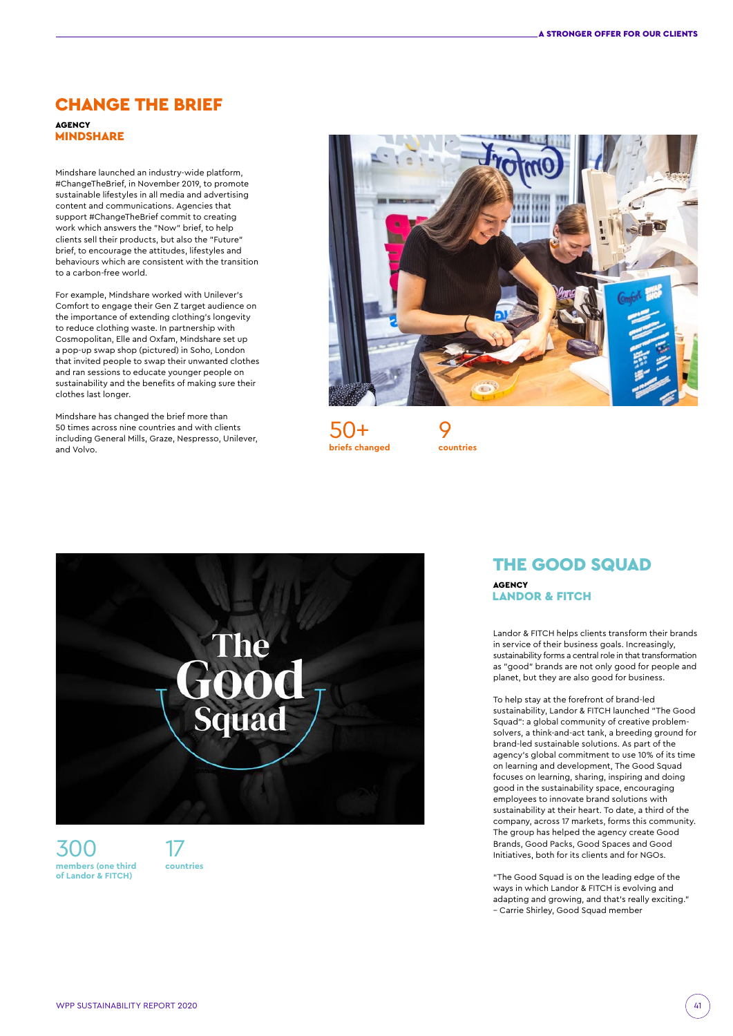## CHANGE THE BRIEF AGENCY

**MINDSHARE** 

Mindshare launched an industry-wide platform, #ChangeTheBrief, in November 2019, to promote sustainable lifestyles in all media and advertising content and communications. Agencies that support #ChangeTheBrief commit to creating work which answers the "Now" brief, to help clients sell their products, but also the "Future" brief, to encourage the attitudes, lifestyles and behaviours which are consistent with the transition to a carbon-free world.

For example, Mindshare worked with Unilever's Comfort to engage their Gen Z target audience on the importance of extending clothing's longevity to reduce clothing waste. In partnership with Cosmopolitan, Elle and Oxfam, Mindshare set up a pop-up swap shop (pictured) in Soho, London that invited people to swap their unwanted clothes and ran sessions to educate younger people on sustainability and the benefits of making sure their clothes last longer.

Mindshare has changed the brief more than 50 times across nine countries and with clients including General Mills, Graze, Nespresso, Unilever, and Volvo.



**countries**

50+ **briefs changed**

'he Squad

300 **members (one third of Landor & FITCH)**

17 **countries** 

# THE GOOD SQUAD **AGENCY**

LANDOR & FITCH

Landor & FITCH helps clients transform their brands in service of their business goals. Increasingly, sustainability forms a central role in that transformation as "good" brands are not only good for people and planet, but they are also good for business.

To help stay at the forefront of brand-led sustainability, Landor & FITCH launched "The Good Squad": a global community of creative problemsolvers, a think-and-act tank, a breeding ground for brand-led sustainable solutions. As part of the agency's global commitment to use 10% of its time on learning and development, The Good Squad focuses on learning, sharing, inspiring and doing good in the sustainability space, encouraging employees to innovate brand solutions with sustainability at their heart. To date, a third of the company, across 17 markets, forms this community. The group has helped the agency create Good Brands, Good Packs, Good Spaces and Good Initiatives, both for its clients and for NGOs.

"The Good Squad is on the leading edge of the ways in which Landor & FITCH is evolving and adapting and growing, and that's really exciting." – Carrie Shirley, Good Squad member